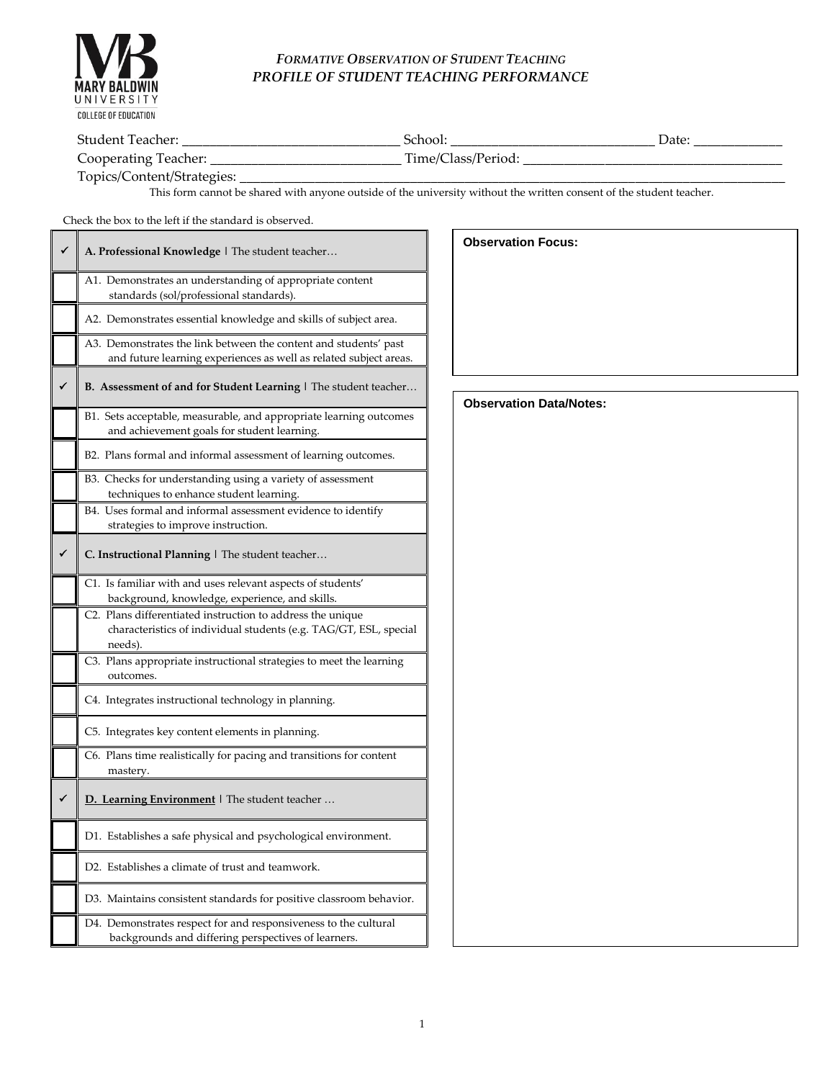

F

## *FORMATIVE OBSERVATION OF STUDENT TEACHING PROFILE OF STUDENT TEACHING PERFORMANCE*

| <b>Shident</b><br>. eacher<br>__                   | <b>1001</b>                              | Dav. |
|----------------------------------------------------|------------------------------------------|------|
| 0000<br>. صدر ما ص<br>റാല<br>r 1 6 1<br>cner.<br>ຼ | — .<br>$\mu$ 1me $\mu$<br>0.00<br>1.111C |      |

Topics/Content/Strategies:

This form cannot be shared with anyone outside of the university without the written consent of the student teacher.

Check the box to the left if the standard is observed.

|   | A. Professional Knowledge   The student teacher                                                                                            |
|---|--------------------------------------------------------------------------------------------------------------------------------------------|
|   | A1. Demonstrates an understanding of appropriate content<br>standards (sol/professional standards).                                        |
|   | A2. Demonstrates essential knowledge and skills of subject area.                                                                           |
|   | A3. Demonstrates the link between the content and students' past<br>and future learning experiences as well as related subject areas.      |
| ✓ | <b>B.</b> Assessment of and for Student Learning   The student teacher                                                                     |
|   | B1. Sets acceptable, measurable, and appropriate learning outcomes<br>and achievement goals for student learning.                          |
|   | B2. Plans formal and informal assessment of learning outcomes.                                                                             |
|   | B3. Checks for understanding using a variety of assessment<br>techniques to enhance student learning.                                      |
|   | B4. Uses formal and informal assessment evidence to identify<br>strategies to improve instruction.                                         |
|   | C. Instructional Planning   The student teacher                                                                                            |
|   | C1. Is familiar with and uses relevant aspects of students'<br>background, knowledge, experience, and skills.                              |
|   | C2. Plans differentiated instruction to address the unique<br>characteristics of individual students (e.g. TAG/GT, ESL, special<br>needs). |
|   | C3. Plans appropriate instructional strategies to meet the learning<br>outcomes.                                                           |
|   | C4. Integrates instructional technology in planning.                                                                                       |
|   | C5. Integrates key content elements in planning.                                                                                           |
|   | C6. Plans time realistically for pacing and transitions for content<br>mastery.                                                            |
|   | D. Learning Environment   The student teacher                                                                                              |
|   | D1. Establishes a safe physical and psychological environment.                                                                             |
|   | D2. Establishes a climate of trust and teamwork.                                                                                           |
|   | D3. Maintains consistent standards for positive classroom behavior.                                                                        |
|   | D4. Demonstrates respect for and responsiveness to the cultural<br>backgrounds and differing perspectives of learners.                     |

| <b>Observation Data/Notes:</b> |
|--------------------------------|
|                                |
|                                |
|                                |
|                                |
|                                |
|                                |
|                                |
|                                |
|                                |
|                                |
|                                |
|                                |
|                                |
|                                |
|                                |
|                                |
|                                |
|                                |